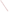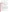# **Innovations Grants for State/Local/Tribal Innovative Approaches to Reducing Air Pollution**

Request for Applications for FY2005

## **OVERVIEW:**

**Federal Agency Name:** U.S. Environmental Protection Agency, Office of Air Quality Planning and Standards, Innovations Team

**Funding Opportunity Title:** Innovations Grants for State/Local/Tribal Innovative Approaches to Reducing Air Pollution

**Funding Opportunity Number: EPA-OAR-EMAD-05-22** 

**Announcement Type:** Initial Announcement for FY2005

**Catalog of Federal Domestic Assistance (CFDA):** Catalog of Federal Domestic Assistance (CFDA) Number 66.034: Surveys, Studies, Investigations, Demonstrations, and Special Purpose Activities Relating to the Clean Air Act.

**Statutory Authority:** The statutory authority for this action is Clean Air Act, Section 103(b)(3) which authorizes the award of grants for research, investigations, experiments, demonstrations, surveys, and studies related to the causes, effect, extent, prevention and control of air pollution.

| <b>Receipt of Application</b>           | No later than 5:00 P.M. EST on January 6,<br>2006 |
|-----------------------------------------|---------------------------------------------------|
| <b>OAQPS</b> Evaluation                 | No later than 5:00 P.M. March 3, 2006             |
| <b>Award Documentation Distribution</b> | To be determined                                  |

## **EXECUTIVE SUMMARY:**

OAQPS is seeking applications from states, territories, Indian Tribes, and possessions of the U.S., including the District of Columbia, international organizations, public and private universities and colleges, hospitals, laboratories, other public or private nonprofit institutions, which submit applications proposing projects with significant technical merit and relevance to EPA's Office of Air and Radiation's mission. For certain competitive funding opportunities, the Agency may limit eligibility to a particular subset of eligible applicants consistent with the Agency's competition policy. For more information about OAQPS, please visit our website at [www.epa.gov/oar/oaqps](http://www.epa.gov/oar/oaqps).

OAQPS seek to facilitate the implementation of new and innovative programs, technologies, and/or strategies, including non-traditional and voluntary measures for achieving additional emissions reductions. We are specifically interested in proposals designed to advance our mission and reflect innovation within our areas of focus. For more information about OAQPS, please visit our website at [www.epa.gov/oar/oaqps](http://www.epa.gov/oar/oaqps).

## **I. FUNDING OPPORTUNITY DESCRIPTION**

## **Authority:**

EPA expects to award grants under Clean Air Act, Section 103(b)(3) which authorizes the award of grants for research, investigations, experiments, demonstrations, surveys, and studies related to the causes, effect, extent, prevention and control of air pollution.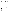Regulations governing these cooperative agreements are found at 40 CFR 30 for institutions of higher education, colleges and universities, and non-profit organizations and 40 CFR Part 31 for States, federally recognized Indian Tribes, and local governments. Additionally, the provisions of 40 CFR Part 32, governing government-wide debarment and suspension; and the provisions in 40 CFR Part 34 regarding restrictions on lobbying. All costs incurred under this program must be allowable under the applicable OMB Cost Circulars: A-87 (States and local governments); A-122 (non profit organizations); or A-21 (universities). Copies of these circulars may be found at: http://whitehouse.gov/omb/circulars.

In accordance with EPA policy, and OMB circulars, as appropriate, any recipient of funding must agree not to use assistance funds for lobbying, fund raising, or political activities (e.g., lobbying members of Congress or lobbying for other Federal grants, cooperative agreements or contracts); see 40 CFR Part 34.

#### **Program Description:**

The purpose of this award is to facilitate the implementation of new and innovative programs, technologies, and/or strategies, including non-traditional and voluntary measures for achieving additional air pollution emissions reductions.

The mission of the Office of Air Quality Planning and Standards is to lead and manage national air quality programs to protect public health and the environment from air pollution. One main area of focus is to work with stationary and area sources on regulatory, market-based and voluntary programs and strategies to achieve real environmental benefits. To facilitate and encourage the implementation of new and innovative programs, technologies, and strategies, we are specifically interested in proposals designed to advance our mission and reflect innovation within our areas of focus. For more information about OAQPS, please visit our website at [www.epa.gov/oar/oaqps.](http://www.epa.gov/oar/oaqps)

## **Linkage to EPA Strategic Plan and Anticipated Outcomes/Outputs:**

1. *Linkage to EPA Strategic Plan.* These assistance agreements will support EPA Strategic Plan Goal 1 – Clean Air and Global Climate Change. To see EPA's Strategic Plan: [www.epa.gov/ocfo/plan/plan.htm.](http://www.epa.gov/ocfo/plan/plan.htm)

2. *Outcomes --* the result, effect or consequence that will occur from carrying out an environmental program or activity that is related to an environmental or programmatic goal or objective. Outcomes may be environmental, behavioral, health-related or programmatic in nature, must be quantitative, and may not necessarily be achievable within an assistance agreement funding period.

Through this grant program, OAQPS expects proposed projects to result in quantifiable air pollution emissions reductions.

3. *Outputs --* an environmental activity, effort, and/or associated work products related to an environmental goal or objective, that will be produced or provided over a period of time or by a specified date. Outputs may be quantitative or qualitative but must be measurable during an assistance agreement funding period.

Through this grant program, OAQPS expects proposed projects to include a mechanism to quantify emissions reductions, as well as a progress report mechanism.

# **II. AWARD INFORMATION:**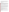For this competition, OAQPS has \$100,000 available for grants under this request for applications. We anticipate award of two grants resulting from this announcement. The suggested project period is May 1, 2006 through April 30, 2007. Please note that based on availability of funds and quality of applications, EPA reserves the right to award no grants under this Request for Applications (RFA).

## **III. ELIGIBILITY INFORMATION:**

## **A. Eligible Applicants:**

OAQPS is seeking applications from states, territories, Indian Tribes, and possessions of the U.S., including the District of Columbia, international organizations, public and private universities and colleges, hospitals, laboratories, other public or private nonprofit institutions, which submit applications proposing projects with significant technical merit and relevance to EPA's Office of Air and Radiation's mission. For certain competitive funding opportunities, the Agency may limit eligibility to a particular subset of eligible applicants consistent with the Agency's competition policy. For more information about OAQPS, please visit our website at [www.epa.gov/oar/oaqps](http://www.epa.gov/oar/oaqps).

Non-profit organizations described in Section 501( c)(4) of the Internal Revenue Code that engage in lobbying activities as defined in Section 3 of the Lobbying Disclosure Act of 1995 are not eligible to apply.

Regulations governing these cooperative agreements are found at 40 CFR 30 for institutions of higher education, colleges and universities, and non-profit organizations and 40 CFR Part 31 for States, federally recognized Indian Tribes, and local governments. Additionally, the provisions of 40 CFR Part 32, governing government-wide debarment and suspension; and the provisions in 40 CFR Part 34 regarding restrictions on lobbying. All costs incurred under this program must be allowable under the applicable OMB Cost Circulars: A-87 (States and local governments); A-122 (non profit organizations); or A-21 (universities). Copies of these circulars may be found at: http://whitehouse.gov/omb/circulars.

## **B. Threshold Criteria:**

All organizations submitting applications in response to this solicitation must meet the eligibility criteria outline above. Applications not following the format will not be considered for award.

# **IV. APPLICATION & SUBMISSION INFORMATION:**

**Confidential Business Information -** In accordance with 40 CFR 2.203, applicants may claim all or a portion of their application/proposal as confidential business information. EPA will evaluate confidentiality claims in accordance with 40 CFR Part 2. Applicants must clearly mark applications/proposals or portions of applications/proposals they claim as confidential. If no claim of confidentiality is made, EPA is not required to make the inquiry to the applicant otherwise required by 40 CFR  $2.204(c)(2)$  prior to disclosure.

## **A. Application Package:**

Please follow the instructions provided in the section below titled, "Content and Form of Application Submission." Application kits are available at http://www.epa.gov/ogd/grants/how\_to\_apply.htm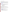#### **B. Content and Form of Proposal Submission:**

Proposals not following the format and content requirements below will not be considered for award

DUNS Requirement: All applicants applying for funding, including renewal funding must have a Dun and Bradstreet Universal Number System (DUNS) number. The DUNS number must be included in the data entry field labeled: "Organizational Duns" on Form SF 424. Applicants can receive a DUNS number, at no cost, by calling the dedicated toll-free DUNS Number request line at 1-866-705-5711, or visiting the D&B website at: [http://www.dnb.com.](http://www.dnb.com/) Instructions on obtaining a DUNS number can be found at: [http://www.grants.gov/GetStarted.](http://www.grants.gov/GetStarted)

#### **1. Submission Methods:**

.

Applicants may submit proposals by hard copy submission, by e-mail, or electronically thru grants.gov as explained below. If submitted by hard copy, two original hard copies are required. Proposals must be received no later than 5:00 P.M. EST on January 6, 2006.For proposals submitted via email, the address is: [langdon.robin@epa.gov.](mailto:langdon.robin@epa.gov) For proposals submitted by hard copy, the address is:

> U.S. Environmental Protection Agency Office of Air Quality Planning & Standards Attention: Ms. Robin Langdon (C339-02) 109 TW Alexander Drive Research Triangle Park, NC 27711 ,

Proposals will be reviewed by OAQPS staff and ranked using the evaluation criteria in Section V. For proposed work plans that would collect environmental data, a Quality Assurance Project Plan is not required at time of submittal but will be required before the project commences.

## **2. PROPOSAL FORMAT AND CONTENT:**

Please include the following elements in your proposal. Note that the project selection criteria in Section V. are cross-referenced to the proposal format and content detailed below.Please address the criterion in parentheses at the end of each section (below) in that specific section; criteria may also be discussed in other proposal sections.

 **Standard Form (SF) 424,** Application for Federal Assistance. This form can be downloaded from EPA's Office of Grants and Debarment website at:

(http://www.epa.gov/ogd/grants/how\_to\_apply.htm).

- ¾ **Short Descriptive Title**
- ¾ **Lead Organization**: Organization name, address, and project lead, phone, fax number, and e-mail address.
- ¾ **Key Performers**: List all organizational performers and their expected contributions. List the name and organization of the lead person(s). Provide any background information that directly shows the leader's proven ability to successful manage this effort.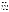- ¾ **Problem Statement**: Clearly state the air quality related problem the proposed project is addressing. Define the current approach (if one exists) for this problem and its shortcomings.
- ¾ **Project Description (Workplan)**: The description must include the following information:
	- o Objectives. Briefly state the objective of the proposed project (**Project Feasibility)**.
	- o Description. Provide an overview and justify the proposed approach and/or technology. Include any historical or scientific background and a description of how the project is innovative **(Innovation)**. Identify any other current or past efforts that you are aware of that are similar to the proposed project.
	- o Approach. Provide a detailed description of the proposed project. Include a brief description of a proposed site(s), if applicable, and the scale of the proposed effort. Provide a schedule of the expected milestones (e.g., Project Kickoff, Site Selection, Test Start and End Dates, Final Report) and notable expected accomplishments during the project **(Project Feasibility)**.
	- o Methodologies. Identify the performance indicators the project manager will measure to: (i) determine whether the project was successful, and (ii) support the final report (**Performance Measures)**.
	- oTechnical Risks. Identify potential concerns and technical risks in applying this effort now and/or transferring the concept to other places. Highlight any known institutional or regulatory barriers that might affect the transition.
- ¾ **Expected Benefit**: Describe (both quantitatively and qualitatively) how the project will achieve emission reductions or air quality benefits. Include (to the extent quantifiable) the amount of emission reduction or potential health benefit **(Immediate Significance)**. When possible, estimate the expected return on investment for implementing this effort.
- ¾ **Transferability**: Describe how this methodology or technology can or will be transferred to others in local, state or national areas. Consider success over the long-term (3-5 years) in encouraging others to implement similar innovative approaches to air quality management **(Long-term Significance)**.
- ¾ **Budget/Funding**: List all sources of expected funding needed to support the project/demonstration. Include a breakdown of any equipment, contractual efforts, supplies, travel, or other charges that would be part of this project. Include information on applicant's ability to leverage additional resources to complete or complement the project **(Budget)**. See Budget Table template below.
- ¾ **Communication Plan:** How will the project be "marketed" and how might the marketing encourage others to seek innovative projects (**Communication Plan)**?
- ¾ **Programmatic Capability**: Provide information on your**:** (i) past performance in successfully completing federally and/or non-federally funded projects, (ii) history of meeting reporting requirements on prior or current assistance agreements with federal and/or non-federal organizations and submitting acceptable final technical reports, (iii) organizational experience and plan for timely and successfully achieving the objectives of the project, and (iv) staff expertise/qualifications, staff knowledge, and resources to successfully achieve the goals of the project. In evaluating an applicant for programmatic capability purposes, EPA will consider information provided by the applicant and may consider information from other sources including Agency files. .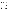¾ **Environmental Results.** The project work plan must include mechanisms for tracking and measuring progress toward achieving the expected environmental outputs and outcomes identified in Section I of this announcement**.**

| <b>Budget Category</b> | <b>Grant Funding</b> | <b>Other Funding</b> | <b>Total Funding</b> |
|------------------------|----------------------|----------------------|----------------------|
| Personnel              |                      |                      |                      |
| <b>Fringe Benefits</b> |                      |                      |                      |
| Travel                 |                      |                      |                      |
| Equipment              |                      |                      |                      |
| <b>Supplies</b>        |                      |                      |                      |
| Contractual            |                      |                      |                      |
| <b>Indirect Cost</b>   |                      |                      |                      |
| Other (detail):        |                      |                      |                      |
| Total                  |                      |                      |                      |

# **3. SUBMISSION DATES AND TIMES:**

Proposals must be received no later than 5:00 P.M. EST on January 6, 2006 by the project officer. If a proposal is submitted late, it will be rejected without further evaluation.

## **C. Instructions for Electronic Submittal Using Grants.gov**

**1.** The electronic submission of your proposal using Grants.gov must be made by an official representative of your institution who is registered with Grants.gov and is authorized to sign applications for Federal assistance. For more information, go to [http://www.grants.gov](http://www.grants.gov/) and click on "Get Started," and then "Authorized Organization Representative (AOR)." *Note that the registration process may take a week or longer to complete.* If your organization is not currently registered with Grants.gov, please encourage your office to designate an AOR and ask that individual to begin the registration process as soon as possible.

To begin the application process for this grant program, go to [http://www.grants.gov](http://www.grants.gov/) and click on the "Apply for Grants" tab. Then click on "Apply Step 1: Download a Grant Application Package and Application Instructions" to download the PureEdge viewer and obtain the application package ([https://apply.grants.gov/forms\\_apps\\_idx.html](https://apply.grants.gov/forms_apps_idx.html)). To download the PureEdge viewer click on the "PureEdge Viewer" link. Once you have downloaded the viewer, you may retrieve the application package by entering the Funding Opportunity Number, EPA-OAR-EMAD-05-22, or the CFDA number for this announcement, in the appropriate space..

- **2. Application Submission Deadline:** Your organization's AOR must submit your complete application electronically through Grants.gov [\(http://www.grants.gov\)](http://www.grants.gov/) no later than 5:00 P.M. EST on January 6, 2006.
- **3. Application Materials.** If applying thru Grants.gov, please submit *all* of the application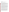US EPA ARCHIVE DOCUMENT

materials described below.

I. Standard Form (SF) 424, Application for Federal Assistance II. Proposal (prepared in accordance with the requirements in Section IV.B.2 of the announcement).

#### **4. Application Preparation and Submission Instructions**

Documents I and II listed under Application Materials above should appear in the "Mandatory Documents" box on the Grants.gov Grant Application Package page. Click on the appropriate form and then click "Open Form" below the box. The fields that must be completed will be highlighted in yellow. Optional fields and completed fields will be displayed in white. If you enter an invalid response or incomplete information in a field, you will receive an error message. When you have finished filling out each form, click "Save." When you return to the electronic Grant Application Package page, click on the form you just completed, and then click on the box that says, "Move Form to Submission List." This action will move the document over to the box that says, "Mandatory Completed Documents for Submission."

For II, you will need to attach electronic files. Prepare your proposal based on the format and content requirements outlined in Section IV.B.2 of this announcement and save the document to your computer as an MS Word, PDF or WordPerfect file. When you are ready to attach your proposal to the application package, click on "Project Narrative Attachment Form," and open the form. Click "Add Mandatory Project Narrative File," and then attach your proposal (previously saved to your computer) using the browse window that appears. You may then click "View Mandatory Project Narrative File" to view it. Enter a brief descriptive title of your project in the space beside "Mandatory Project Narrative File Filename;" the filename should be no more than 40 characters long. If there other attachments that you would like to submit to accompany your proposal, you may click "Add Optional Project Narrative File" and proceed as before. When you have finished attaching the necessary documents, click "Close Form." When you return to the "Grant Application Package" page, select the "Project Narrative Attachment Form" and click "Move Form to Submission List." The form should now appear in the box that says, "Mandatory Completed Documents for Submission."

Once you have finished filling out all of the forms/attachments and they appear in one of the "Completed Documents for Submission" boxes, click the "Save" button that appears at the top of the Web page. It is suggested that you save the document a second time, using a different name, since this will make it easier to submit an amended package later if necessary. Please use the following format when saving your file: "Applicant Name –  $FY06 -$  Assoc Prog Supp – 1<sup>st</sup> Submission" or "Applicant Name – FY 06 Assoc Prog Supp – Back-up Submission." If it becomes necessary to submit an amended package at a later date, then the name of the  $2<sup>nd</sup>$ submission should be changed to "Applicant Name – FY06 Assoc Prog Supp –  $2<sup>nd</sup>$  Submission." Once your application package has been completed and saved, send it to your AOR for submission to U.S. EPA through Grants.gov. Please advise your AOR to close all other software programs before attempting to submit the application package through Grants.gov.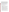In the "Application Filing Name" box, your AOR should enter your organization's name (abbreviate where possible), the fiscal year (e.g., FY06), and the grant category (e.g., Assoc Prog Supp). The filing name should not exceed 40 characters. From the "Grant Application Package" page, your AOR may submit the application package by clicking the "Submit" button that appears at the top of the page. The AOR will then be asked to verify the agency and funding opportunity number for which the application package is being submitted. If problems are encountered during the submission process, the AOR should reboot his/her computer before trying to submit the application package again. [It may be necessary to turn off the computer (not just restart it) before attempting to submit the package again.] If the AOR continues to experience submission problems, he/she may contact Grants.gov for assistance by phone at 1- 800-518-4726 or email at [support@grants.gov.](mailto:support@grants.gov) or, Langdon.Robin@epa.gov

If you have not received a confirmation of receipt from EPA (*not from* [support@grant.gov\)](mailto:support@grant.gov) within 30 days of the application deadline, please contact Robin Langdon , at Langdon.Robin@epa.gov Failure to do so may result in your application not being reviewed.

# **V. APPLICATION REVIEW INFORMATION:**

Proposals will be evaluated according to the criteria defined below.

- 1. **20 points -- Innovation.** Projects that highlight and incorporate new and novel concepts, approaches, methods, or combinations of expertise to achieve additional emissions reductions will score higher on this criterion. The proposal should discuss the project's innovation in the context of any limitations to existing methods or technologies for controlling emissions.
- 2. **20 points -- Immediate Significance.** Projects that highlight the degree to which the proposed project, in the near term, will directly lead to additional emissions reductions and improvements in public health will score higher on this criterion. The proposed project must also characterize the actual public benefits to be derived.
- 3. **20 points -- Long Term Significance.** Projects that succeed at achieving broader air quality objectives over a longer period will score higher on this criterion. Proposals must address the potential for project success over the long-term (3-5 years) to encourage others to implement similar innovative approaches to achieving emission reductions.
- 4. **10 points -- Project Feasibility.** Projects that have well defined and clearly achieveable goals will score higher on this criterion. The proposal must include a description of the project's conceptual framework, design, methodology, and analyses.
- 5. **10 points -- Budget.** Projects that include a detailed budget, including the use of these award monies, will score higher on this criterion. The proposal must address the question of the measurable cost savings associated with the replication or transfer of the project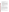idea. Also, if applicable, the proposal must address the applicant's ability to leverage additional resources to complete or complement the project.

- 6. **10 points -- Communication Plan.** Projects that include a plan to: (1) market the project or idea, and/or (2) market to encourage others to replicate the project or seek innovative projects will score higher on this criterion.
- 7. **10 points Programmatic Capability.** Applicants will be evaluated based on their**:**: (i) past performance in successfully completing federally and/or non-federally funded projects similar in size, scope, and relevance to the proposed project, (ii) history of meeting reporting requirements on prior or current assistance agreements with federal and/or non-federal organizations and submitting acceptable final technical reports, (iii) organizational experience and plan for timely and successfully achieving the objectives of the project, and (iv) staff expertise/qualifications, staff knowledge, and resources or the ability to obtain them, to successfully achieve the goals of the project. Applicants with no past performance or reporting history (items i and ii above) will receive a neutral score for those elements of this criteria).
- 8. **10 points -- Environmental Results.** The work plan must include mechanisms for tracking and measuring progress toward achieving the expected environmental outputs and outcomes identified in Section I of this announcement**.**

#### **REVIEW AND SELECTION PROCESS:**

Each application will be evaluated by an Evaluation Team within OAQPS. The Evaluation Team will base its evaluation solely on the selection criteria disclosed in this notice.

The applicant organizations whose applications are *selected/recommended will move to the next phase and will be notified* electronically on or around March 3, 2006. The applicants not selected will also be notified electronically within 15 days of notifying those applicants selected for further consideration. Applications that fail to comply with the administrative requirements of the Request for Application will not be considered for award, they are found to lack relevancy, or they are judged technically unacceptable. EPA reserves the right to reject all applications and make no awards. Awards involving the collection of environmental data will be subject to the requirements of a Quality Assurance Project Plan and will require coordination with OAQPS.

#### **VI. AWARD ADMINISTRATION INFORMATION:**

#### **Award Notices:**

Successful applicants whose final applications have been selected and approved can expect to receive an award document that constitutes an offer to the recipient organization and sets forth the terms and conditions of the assistance agreement. As the assistance agreement is a legal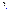document, an authorized representative of your organization must indicate acceptance by signing and returning the appropriate copies to the Office of Grants and Debarment:

## **Office of Grants and Debarment (3903R) U.S. Environmental Protection Agency 1200 Pennsylvania Avenue, N.W. Washington, D.C. 20460**

#### **Dispute Resolution:**

Assistance agreement competition – related to disputes will be resolved in accordance with the dispute resolution procedures published in 70 FR 3629, 3630 (January 26, 2005) which can be found at:

[http://a257.g.akamaitech.net/7/257/2422/01jan20051800/edocket.access.gpo.gov/2005/05-](http://a257.g.akamaitech.net/7/257/2422/01jan20051800/edocket.access.gpo.gov/2005/05-1371.htm) [1371.htm.](http://a257.g.akamaitech.net/7/257/2422/01jan20051800/edocket.access.gpo.gov/2005/05-1371.htm)

Copies of these procedures may also be requested by contacting:

**Robin Langdon US EPA, Office of Air Quality Planning & Standards 109 TW Alexander Drive Mailcode: C339-02 Research Triangle Park, NC 27711 Telephone: 919-541-4048 [langdon.robin@epa.gov](mailto:langdon.robin@epa.gov)**

#### **Administrative and National Policy Requirements:**

- 1. A listing and description of general EPA Regulations applicable to the award of assistance agreements may be viewed at: [http://www.epa.gov/ogd/AppKit/applicable\\_epa\\_regulations\\_and\\_description.htm](http://www.epa.gov/ogd/AppKit/applicable_epa_regulations_and_description.htm)
- b. Executive Order 12372, Intergovernmental Review of Federal Programs may be applicable to awards, resulting from this announcement. Applicants *selected* for funding may be required to provide a copy of their proposal to their **State Point of Contact** (SPOC) for review, pursuant to Executive Order 12372, Intergovernmental Review of Federal Programs. This review is not required with the Initial Proposal and not all states require such a review.

## **REPORTING:**

**Progress Reports:** Written reports describing tasks accomplished, results achieved to date including any problems encountered and how problems were overcome, and a summary of funds expended will be required on a quarterly basis, as stated in 40 CFR Section 31.40 and 30.51.